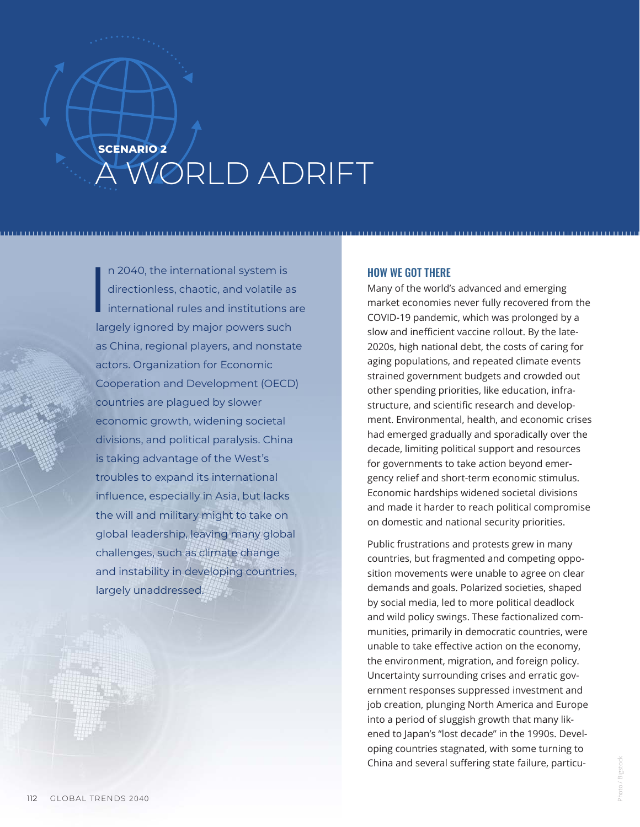## **SCENARIO 2** A WORLD ADRIFT

I n 2040, the international system is directionless, chaotic, and volatile as international rules and institutions are largely ignored by major powers such as China, regional players, and nonstate actors. Organization for Economic Cooperation and Development (OECD) countries are plagued by slower economic growth, widening societal divisions, and political paralysis. China is taking advantage of the West's troubles to expand its international influence, especially in Asia, but lacks the will and military might to take on global leadership, leaving many global challenges, such as climate change and instability in developing countries, largely unaddressed.

## HOW WE GOT THERE

Many of the world's advanced and emerging market economies never fully recovered from the COVID-19 pandemic, which was prolonged by a slow and inefficient vaccine rollout. By the late-2020s, high national debt, the costs of caring for aging populations, and repeated climate events strained government budgets and crowded out other spending priorities, like education, infrastructure, and scientific research and development. Environmental, health, and economic crises had emerged gradually and sporadically over the decade, limiting political support and resources for governments to take action beyond emergency relief and short-term economic stimulus. Economic hardships widened societal divisions and made it harder to reach political compromise on domestic and national security priorities.

Public frustrations and protests grew in many countries, but fragmented and competing opposition movements were unable to agree on clear demands and goals. Polarized societies, shaped by social media, led to more political deadlock and wild policy swings. These factionalized communities, primarily in democratic countries, were unable to take effective action on the economy, the environment, migration, and foreign policy. Uncertainty surrounding crises and erratic government responses suppressed investment and job creation, plunging North America and Europe into a period of sluggish growth that many likened to Japan's "lost decade" in the 1990s. Developing countries stagnated, with some turning to China and several suffering state failure, particu